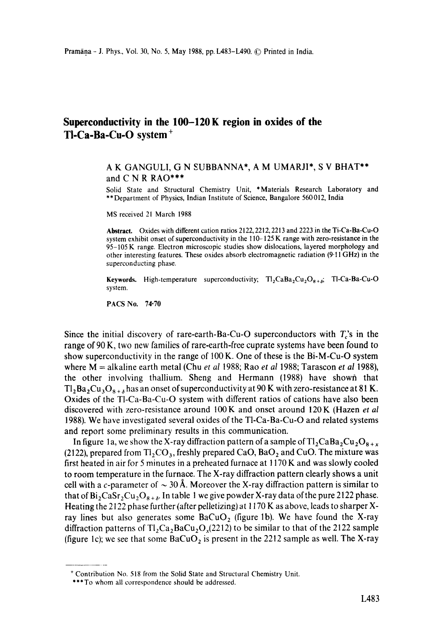## **Superconductivity in the 100-120 K region in oxides of the TI-Ca-Ba-Cu-O system +**

## A K GANGULI, G N EUBBANNA\*, A M UMARJI\*, S V BHAT\*\* and C N R RAO\*\*\*

Solid State and Structural Chemistry Unit, \*Materials Research Laboratory and \*\*Department of Physics, Indian Institute of Science, Bangalore 560012, India

MS received 21 March 1988

**Abstract.** Oxides with different cation ratios 2122, 2212, 2213 and 2223 in the Ti-Ca-Ba-Cu-O system exhibit onset of superconductivity in the 110-125 K range with zero-resistance in the 95-105 K range. Electron microscopic studies show dislocations, layered morphology and other interesting features. These oxides absorb electromagnetic radiation (9'11 GHz) in the superconducting phase.

**Keywords.** High-temperature superconductivity;  $T_2$ CaBa<sub>2</sub>Cu<sub>2</sub>O<sub>8+b</sub>; TI-Ca-Ba-Cu-O system.

PACS No. 74-70

Since the initial discovery of rare-earth-Ba-Cu-O superconductors with  $T_c$ 's in the range of 90 K, two new families of rare-earth-free cuprate systems have been found to show superconductivity in the range of 100 K. One of these is the Bi-M-Cu-O **system**  where M = alkaline earth metal (Chu *et al* 1988; Rao *et al* 1988; Tarascon *et al* 1988), the other involving thallium. Sheng and Hermann (1988) have shown that  $T_2Ba_2Cu_3O_{8+\delta}$  has an onset of superconductivity at 90 K with zero-resistance at 81 K. Oxides of the T1-Ca-Ba-Cu-O system with different ratios of cations have also been discovered with zero-resistance around 100 K and onset around 120 K (Hazen *et al*  1988). We have investigated several oxides of the TI-Ca-Ba-Cu-O and related systems and report some preliminary results in this communication.

In figure 1a, we show the X-ray diffraction pattern of a sample of  $Tl_2CaBa_2Cu_2O_{8+x}$ (2122), prepared from  $T_{12}CO_3$ , freshly prepared CaO, BaO<sub>2</sub> and CuO. The mixture was first heated in air for 5 minutes in a preheated furnace at l 170 K and was slowly cooled to room temperature in the furnace. The X-ray diffraction pattern clearly shows a unit cell with a c-parameter of  $\sim$  30 Å. Moreover the X-ray diffraction pattern is similar to that of  $Bi_2CaSr_2Cu_2O_{8+\delta}$ . In table 1 we give powder X-ray data of the pure 2122 phase. Heating the 2122 phase further (after pelletizing) at 1170 K as above, leads to sharper Xray lines but also generates some  $BaCuO<sub>2</sub>$  (figure 1b). We have found the X-ray diffraction patterns of  $T_1$ , $Ca_2BaCu<sub>2</sub>O<sub>x</sub>(2212)$  to be similar to that of the 2122 sample (figure 1c); we see that some  $BaCuO<sub>2</sub>$  is present in the 2212 sample as well. The X-ray

<sup>+</sup> Contribution No. 518 from the Solid State and Structural Chemistry Unit.

<sup>\*\*\*</sup> To whom all correspondence should be addressed.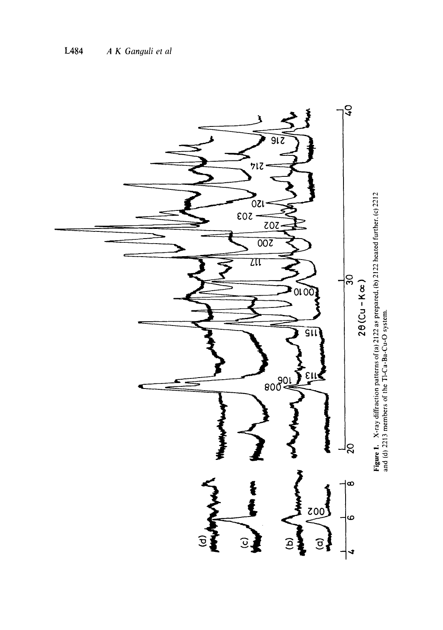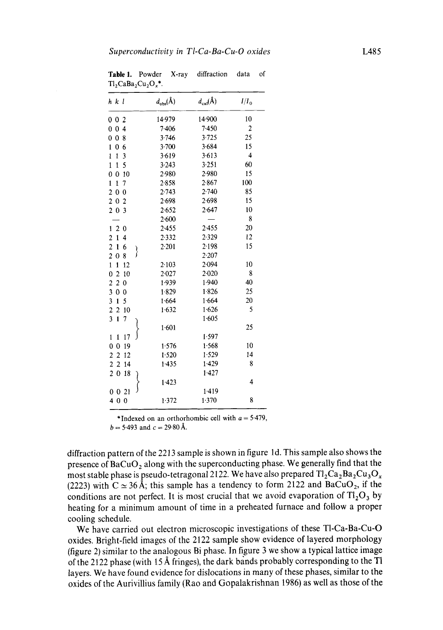| h k l                                                          | $d_{\text{obs}}(\text{\AA})$ | $d_{\text{cal}}(\text{\AA})$ | $I/I_0$        |
|----------------------------------------------------------------|------------------------------|------------------------------|----------------|
| 002                                                            | 14.979                       | 14 900                       | 10             |
| 0 <sub>4</sub><br>$\bf{0}$                                     | 7.406                        | 7.450                        | $\overline{2}$ |
| $\overline{0}$<br>0<br>8                                       | 3.746                        | 3.725                        | 25             |
| 0<br>6<br>1                                                    | 3.700                        | 3.684                        | 15             |
| 3<br>$\mathbf{1}$<br>$\mathbf{1}$                              | 3.619                        | 3.613                        | 4              |
| 5<br>$\mathbf{1}$<br>1                                         | 3.243                        | 3.251                        | 60             |
| 0<br>$\bf{0}$<br>10                                            | 2.980                        | 2.980                        | 15             |
| $\mathbf{1}$<br>1<br>7                                         | 2.858                        | 2.867                        | 100            |
| $\overline{c}$<br>$\bf{0}$<br>$\bf{0}$                         | 2.743                        | 2.740                        | 85             |
| $\overline{c}$<br>$\bf{0}$<br>$\overline{2}$                   | 2.698                        | 2.698                        | 15             |
| $\overline{c}$<br>$\overline{\mathbf{3}}$<br>$\bf{0}$          | 2.652                        | 2.647                        | 10             |
|                                                                | 2.600                        |                              | 8              |
| $\boldsymbol{2}$<br>1<br>$\boldsymbol{0}$                      | 2.455                        | 2.455                        | 20             |
| $\mathbf{1}$<br>$\mathbf{c}$<br>4                              | 2.332                        | 2.329                        | 12             |
| $\overline{2}$<br>1<br>6                                       | 2.201                        | 2 1 9 8                      | 15             |
| ∤<br>$\overline{c}$<br>$\boldsymbol{0}$<br>8                   |                              | 2.207                        |                |
| $\mathbf{1}$<br>1<br>12                                        | 2.103                        | 2.094                        | 10             |
| 0<br>$\mathbf{2}$<br>10                                        | 2.027                        | $2 - 020$                    | 8              |
| $\overline{\mathbf{c}}$<br>$\overline{\mathbf{c}}$<br>$\bf{0}$ | 1.939                        | 1.940                        | 40             |
| $\overline{\mathbf{3}}$<br>$\mathbf 0$<br>$\bf{0}$             | 1.829                        | 1.826                        | 25             |
| 3<br>$\mathbf{1}$<br>5                                         | 1.664                        | 1.664                        | 20             |
| $\overline{\mathbf{c}}$<br>$\overline{2}$<br>10                | 1.632                        | 1.626                        | 5              |
| $\overline{\mathbf{3}}$<br>$\mathbf{1}$<br>7                   |                              | 1.605                        |                |
|                                                                | 1.601                        |                              | 25             |
| 17<br>ĺ<br>$\mathbf{1}$                                        |                              | 1.597                        |                |
| 0<br>$\mathbf 0$<br>19                                         | 1.576                        | 1.568                        | 10             |
| $\overline{a}$<br>$\overline{\mathbf{c}}$<br>12                | 1.520                        | 1.529                        | 14             |
| $\overline{2}$<br>2<br>14                                      | 1.435                        | 1.429                        | 8              |
| $\overline{c}$<br>$\bf{0}$<br>18                               |                              | 1.427                        |                |
|                                                                | 1.423                        |                              | 4              |
| 0021                                                           |                              | 1.419                        |                |
| 400                                                            | 1.372                        | 1.370                        | 8              |
|                                                                |                              |                              |                |

Table 1. Powder X-ray diffraction data of  $T1_2CaBa_2Cu_2O_*$ \*.

\*Indexed on an orthorhombic cell with  $a = 5.479$ ,

 $b = 5.493$  and  $c = 29.80~\text{\AA}$ .

diffraction pattern of the 2213 sample is shown in figure ld. This sample also shows the presence of BaCuO<sub>2</sub> along with the superconducting phase. We generally find that the most stable phase is pseudo-tetragonal 2122. We have also prepared  $Tl_2Ca_2Ba_2Cu_3O_x$ (2223) with  $C \approx 36 \text{ Å}$ ; this sample has a tendency to form 2122 and BaCuO<sub>2</sub>, if the conditions are not perfect. It is most crucial that we avoid evaporation of  $Tl_2O_3$  by heating for a minimum amount of time in a preheated furnace and follow a proper cooling schedule.

We have carried out electron microscopic investigations of these T1-Ca-Ba-Cu-O oxides. Bright-field images of the 2122 sample show evidence of layered morphology (figure 2) similar to the analogous Bi phase. In figure 3 we show a typical lattice image of the 2122 phase (with 15 A fringes), the dark bands probably corresponding to the T1 layers. We have found evidence for dislocations in many of these phases, similar to the oxides of the Aurivillius family (Rao and Gopalakrishnan 1986) as well as those of the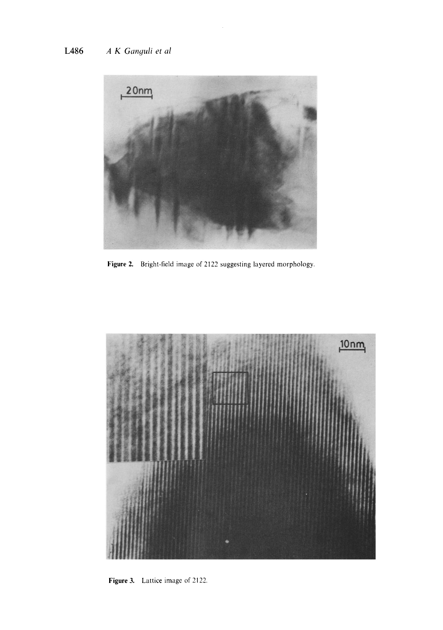

Figure 2. Bright-field image of 2122 suggesting layered morphology.



Figure 3. Lattice image of 2122.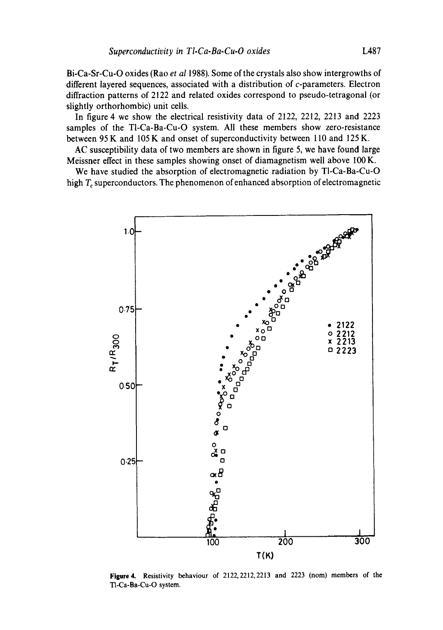Bi-Ca-Sr-Cu-O oxides (Rao *et al* 1988). Some of the crystals also show intergrowths of different layered sequences, associated with a distribution of c-parameters. Electron diffraction patterns of 2122 and related oxides correspond to pseudo-tetragonal (or slightly orthorhombic) unit cells.

In figure 4 we show the electrical resistivity data of 2122, 2212, 2213 and 2223 samples of the T1-Ca-Ba-Cu-O system. All these members show zero-resistance between 95 K and 105 K and onset of superconductivity between 110 and 125 K.

AC susceptibility data of two members are shown in figure 5, we have found large Meissner effect in these samples showing onset of diamagnetism well above 100 K.

We have studied the absorption of electromagnetic radiation by TI-Ca-Ba-Cu-O high  $T_c$  superconductors. The phenomenon of enhanced absorption of electromagnetic



**Figure4.** Resistivity behaviour of 2122,2212,2213 and 2223 (nom) members of the T1-Ca-Ba-Cu-O system.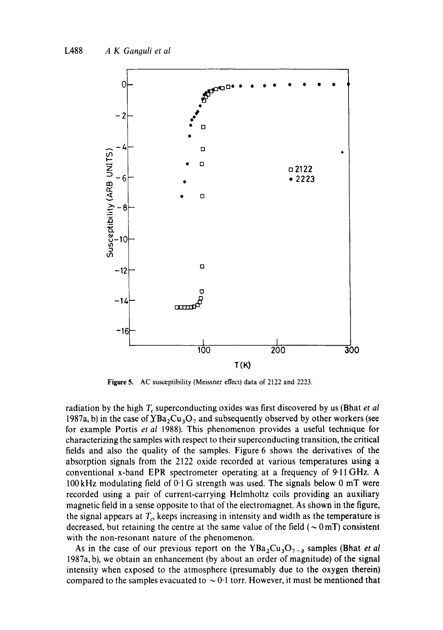

Figure 5, AC susceptibility (Meissner effect) data of 2122 and 2223.

radiation by the high  $T_c$  superconducting oxides was first discovered by us (Bhat *et al*) 1987a, b) in the case of  $YBa_2Cu_3O_7$  and subsequently observed by other workers (see for example Portis *et al* 1988). This phenomenon provides a useful technique for characterizing the samples with respect to their superconducting transition, the critical fields and also the quality of the samples. Figure 6 shows the derivatives of the absorption signals from the 2122 oxide recorded at various temperatures using a conventional x-band EPR spectrometer operating at a frequency of 9.11 GHz. A 100kHz modulating field of 0.1 G strength was used. The signals below 0 mT were recorded using a pair of current-carrying Helmholtz coils providing an auxiliary magnetic field in a sense opposite to that of the electromagnet. As shown in the figure, the signal appears at  $T_c$ , keeps increasing in intensity and width as the temperature is decreased, but retaining the centre at the same value of the field ( $\sim 0 \,\text{mT}$ ) consistent with the non-resonant nature of the phenomenon.

As in the case of our previous report on the  $YBa_2Cu_3O_{7-\delta}$  samples (Bhat *et al* 1987a, b), we obtain an enhancement (by about an order of magnitude) of the signal intensity when exposed to the atmosphere (presumably due to the oxygen therein) compared to the samples evacuated to  $\sim 0.1$  torr. However, it must be mentioned that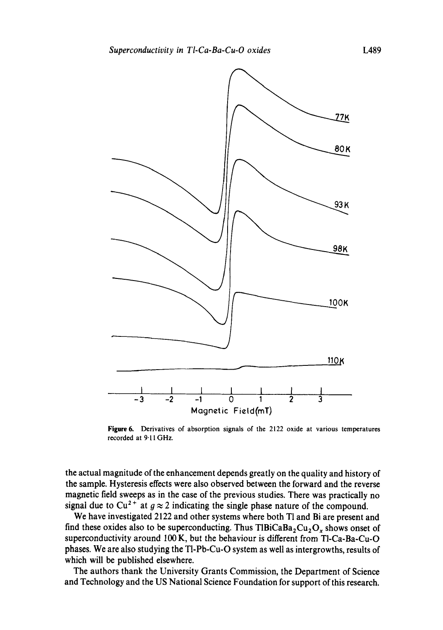

Figure 6. Derivatives of absorption signals of the 2122 oxide at various temperatures **recorded at 9'11GHz.** 

the actual magnitude of the enhancement depends greatly on the quality and history of the sample. Hysteresis effects were also observed between the forward and the reverse magnetic field sweeps as in the ease of the previous studies. There was practically no signal due to Cu<sup>2+</sup> at  $g \approx 2$  indicating the single phase nature of the compound.

We have investigated 2122 and other systems where both Tl and Bi are present and find these oxides also to be superconducting. Thus TlBiCaBa<sub>2</sub>Cu<sub>2</sub>O<sub>x</sub> shows onset of superconductivity around 100 K, but the behaviour is different from TI-Ca-Ba-Cu-O phases. We are also studying the TI-Pb-Cu-O system as well as intergrowths, results of which will be published elsewhere.

The authors thank the University Grants Commission, the Department of Science and Technology and the US National Science Foundation for support of this research.